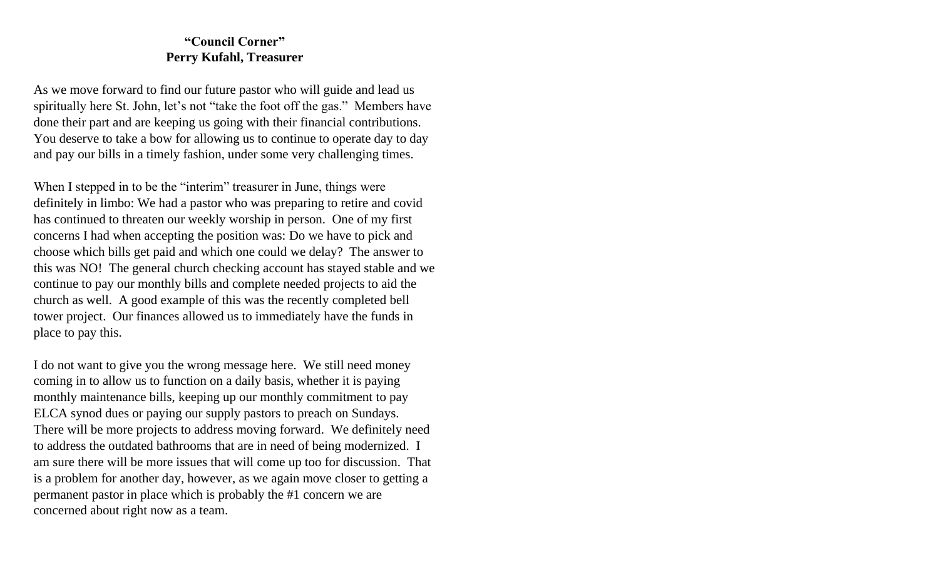# **"Council Corner" Perry Kufahl, Treasurer**

As we move forward to find our future pastor who will guide and lead us spiritually here St. John, let's not "take the foot off the gas." Members have done their part and are keeping us going with their financial contributions. You deserve to take a bow for allowing us to continue to operate day to day and pay our bills in a timely fashion, under some very challenging times.

When I stepped in to be the "interim" treasurer in June, things were definitely in limbo: We had a pastor who was preparing to retire and covid has continued to threaten our weekly worship in person. One of my first concerns I had when accepting the position was: Do we have to pick and choose which bills get paid and which one could we delay? The answer to this was NO! The general church checking account has stayed stable and we continue to pay our monthly bills and complete needed projects to aid the church as well. A good example of this was the recently completed bell tower project. Our finances allowed us to immediately have the funds in place to pay this.

I do not want to give you the wrong message here. We still need money coming in to allow us to function on a daily basis, whether it is paying monthly maintenance bills, keeping up our monthly commitment to pay ELCA synod dues or paying our supply pastors to preach on Sundays. There will be more projects to address moving forward. We definitely need to address the outdated bathrooms that are in need of being modernized. I am sure there will be more issues that will come up too for discussion. That is a problem for another day, however, as we again move closer to getting a permanent pastor in place which is probably the #1 concern we are concerned about right now as a team.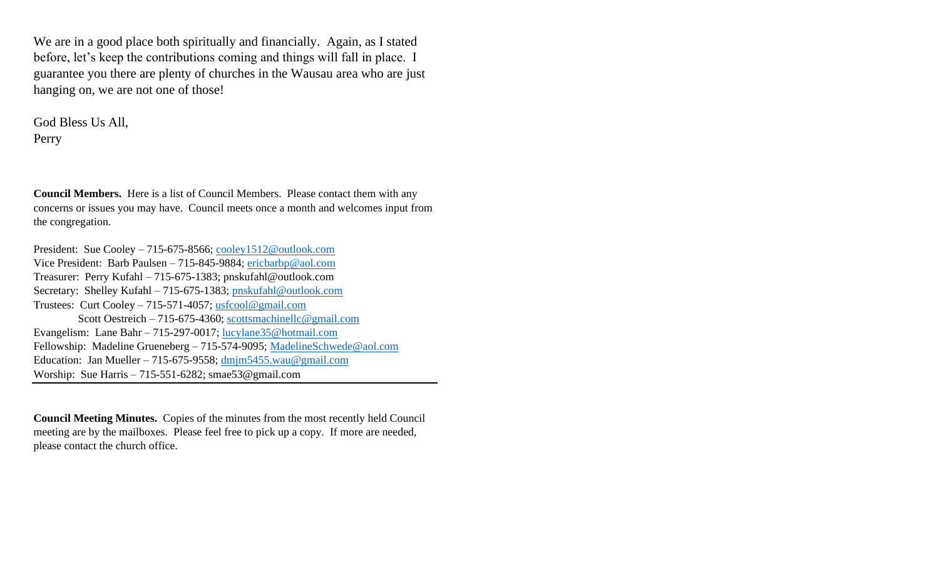We are in a good place both spiritually and financially. Again, as I stated before, let's keep the contributions coming and things will fall in place. I guarantee you there are plenty of churches in the Wausau area who are just hanging on, we are not one of those!

God Bless Us All, Perry

**Council Members.** Here is a list of Council Members. Please contact them with any concerns or issues you may have. Council meets once a month and welcomes input from the congregation.

President: Sue Cooley – 715-675-8566; [cooley1512@outlook.com](mailto:cooley1512@outlook.com) Vice President: Barb Paulsen – 715-845-9884; [ericbarbp@aol.com](mailto:ericbarbp@aol.com) Treasurer: Perry Kufahl – 715-675-1383; pnskufahl@outlook.com Secretary: Shelley Kufahl – 715-675-1383; [pnskufahl@outlook.com](mailto:pnskufahl@outlook.com) Trustees: Curt Cooley – 715-571-4057; [usfcool@gmail.com](mailto:usfcool@gmail.com) Scott Oestreich – 715-675-4360; [scottsmachinellc@gmail.com](mailto:scottsmachinellc@gmail.com) Evangelism: Lane Bahr – 715-297-0017; [lucylane35@hotmail.com](mailto:lucylane35@hotmail.com) Fellowship: Madeline Grueneberg – 715-574-9095; [MadelineSchwede@aol.com](mailto:MadelineSchwede@aol.com) Education: Jan Mueller – 715-675-9558; [dmjm5455.wau@gmail.com](mailto:dmjm5455.wau@gmail.com) Worship: Sue Harris – 715-551-6282; smae53@gmail.com

**Council Meeting Minutes.** Copies of the minutes from the most recently held Council meeting are by the mailboxes. Please feel free to pick up a copy. If more are needed, please contact the church office.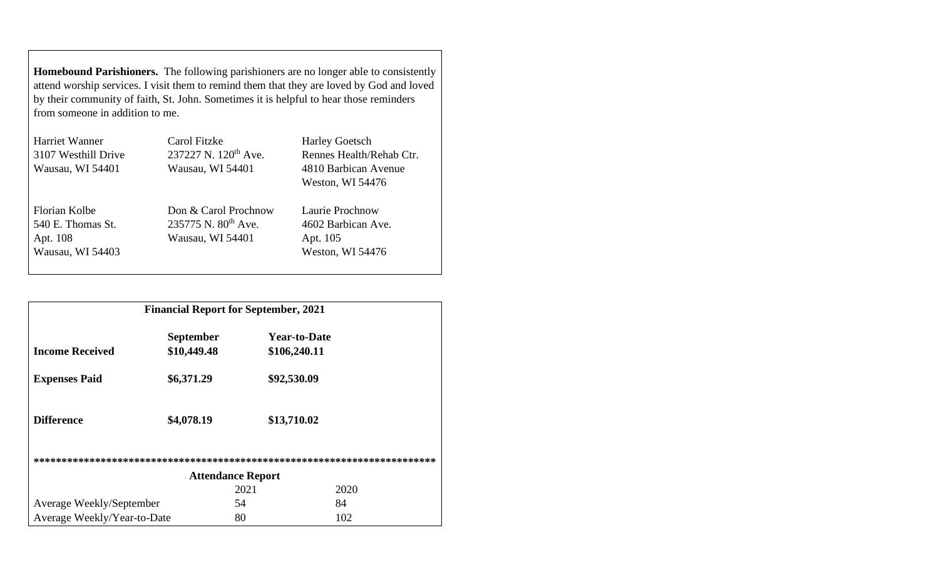**Homebound Parishioners.** The following parishioners are no longer able to consistently attend worship services. I visit them to remind them that they are loved by God and loved by their community of faith, St. John. Sometimes it is helpful to hear those reminders from someone in addition to me.

| Harriet Wanner      | Carol Fitzke                     | <b>Harley Goetsch</b>                    |  |
|---------------------|----------------------------------|------------------------------------------|--|
| 3107 Westhill Drive | 237227 N. 120 <sup>th</sup> Ave. | Rennes Health/Rehab Ctr.                 |  |
| Wausau, WI 54401    | Wausau, WI 54401                 | 4810 Barbican Avenue<br>Weston, WI 54476 |  |
|                     |                                  |                                          |  |
|                     |                                  |                                          |  |
|                     |                                  |                                          |  |
| Florian Kolbe       | Don & Carol Prochnow             | Laurie Prochnow                          |  |
| 540 E. Thomas St.   | 235775 N. 80 <sup>th</sup> Ave.  | 4602 Barbican Ave.                       |  |
| Apt. 108            | Wausau, WI 54401                 | Apt. 105                                 |  |
| Wausau, WI 54403    |                                  | Weston, WI 54476                         |  |

| <b>Financial Report for September, 2021</b> |                  |                     |      |  |
|---------------------------------------------|------------------|---------------------|------|--|
|                                             | <b>September</b> | <b>Year-to-Date</b> |      |  |
| <b>Income Received</b>                      | \$10,449.48      | \$106,240.11        |      |  |
| <b>Expenses Paid</b>                        | \$6,371.29       | \$92,530.09         |      |  |
| <b>Difference</b>                           | \$4,078.19       | \$13,710.02         |      |  |
|                                             |                  |                     |      |  |
| <b>Attendance Report</b>                    |                  |                     |      |  |
|                                             |                  | 2021                | 2020 |  |
| Average Weekly/September                    |                  | 54                  | 84   |  |
| Average Weekly/Year-to-Date                 |                  | 80                  | 102  |  |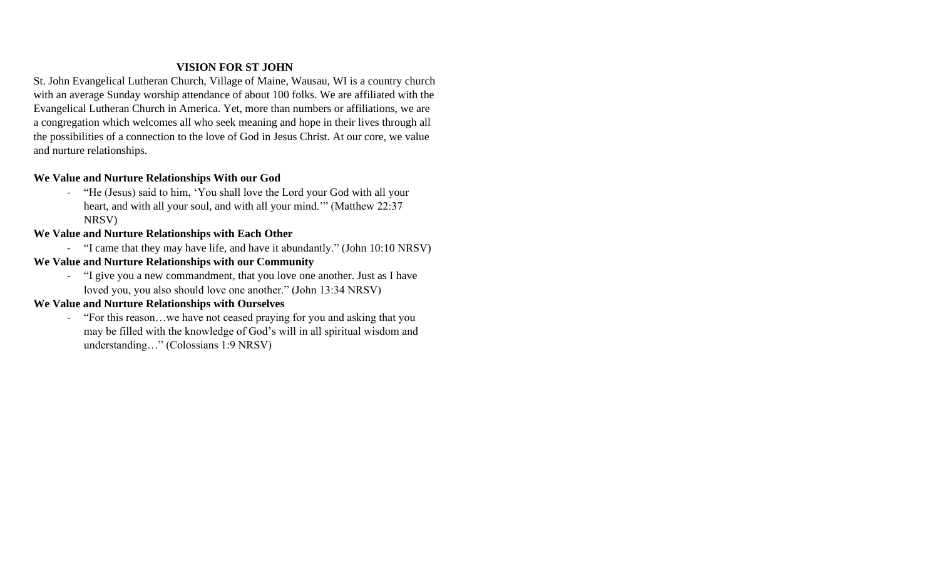## **VISION FOR ST JOHN**

St. John Evangelical Lutheran Church, Village of Maine, Wausau, WI is a country church with an average Sunday worship attendance of about 100 folks. We are affiliated with the Evangelical Lutheran Church in America. Yet, more than numbers or affiliations, we are a congregation which welcomes all who seek meaning and hope in their lives through all the possibilities of a connection to the love of God in Jesus Christ. At our core, we value and nurture relationships.

### **We Value and Nurture Relationships With our God**

- "He (Jesus) said to him, 'You shall love the Lord your God with all your heart, and with all your soul, and with all your mind.'" (Matthew 22:37 NRSV)

#### **We Value and Nurture Relationships with Each Other**

- "I came that they may have life, and have it abundantly." (John 10:10 NRSV)
- **We Value and Nurture Relationships with our Community**
	- "I give you a new commandment, that you love one another. Just as I have loved you, you also should love one another." (John 13:34 NRSV)

### **We Value and Nurture Relationships with Ourselves**

- "For this reason…we have not ceased praying for you and asking that you may be filled with the knowledge of God's will in all spiritual wisdom and understanding…" (Colossians 1:9 NRSV)